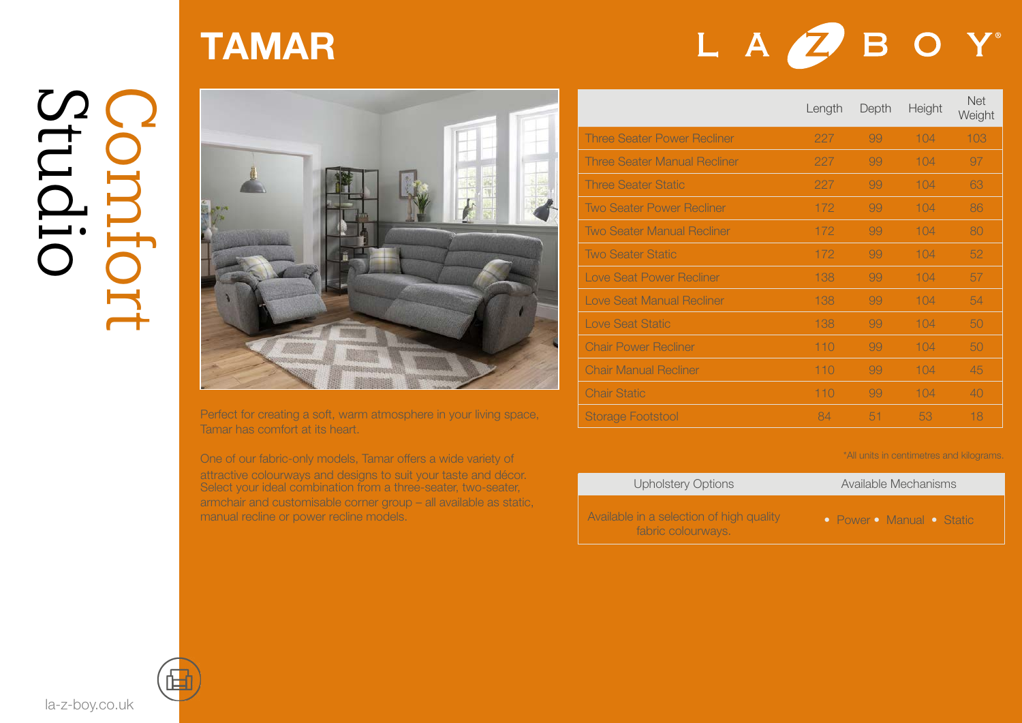## Stu Comfort

### TAMAR





Perfect for creating a soft, warm atmosphere in your living space, Tamar has comfort at its heart.

One of our fabric-only models, Tamar offers a wide variety of attractive colourways and designs to suit your taste and décor. Select your ideal combination from a three-seater, two-seater, armchair and customisable corner group – all available as static, manual recline or power recline models.

|                                     | Length | Depth | Height | <b>Net</b><br>Weight |
|-------------------------------------|--------|-------|--------|----------------------|
| <b>Three Seater Power Recliner</b>  | 227    | 99    | 104    | 103                  |
| <b>Three Seater Manual Recliner</b> | 227    | 99    | 104    | 97                   |
| <b>Three Seater Static</b>          | 227    | 99    | 104    | 63                   |
| <b>Two Seater Power Recliner</b>    | 172    | 99    | 104    | 86                   |
| <b>Two Seater Manual Recliner</b>   | 172    | 99    | 104    | 80                   |
| <b>Two Seater Static</b>            | 172    | 99    | 104    | 52                   |
| <b>Love Seat Power Recliner</b>     | 138    | 99    | 104    | 57                   |
| <b>Love Seat Manual Recliner</b>    | 138    | 99    | 104    | 54                   |
| <b>Love Seat Static</b>             | 138    | 99    | 104    | 50                   |
| <b>Chair Power Recliner</b>         | 110    | 99    | 104    | 50                   |
| <b>Chair Manual Recliner</b>        | 110    | 99    | 104    | 45                   |
| <b>Chair Static</b>                 | 110    | 99    | 104    | 40                   |
| <b>Storage Footstool</b>            | 84     | 51    | 53     | 18                   |

#### \*All units in centimetres and kilograms.

| <b>Upholstery Options</b>                                      | Available Mechanisms             |  |  |
|----------------------------------------------------------------|----------------------------------|--|--|
| Available in a selection of high quality<br>fabric colourways. | <b>O</b> Power O Manual O Static |  |  |